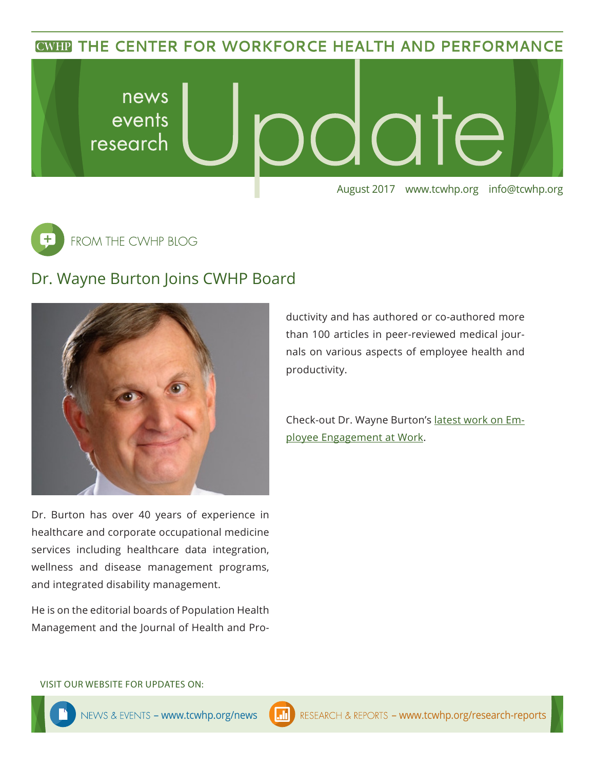**CWHP THE CENTER FOR WORKFORCE HEALTH AND PERFORMANCE** 





## Dr. Wayne Burton Joins CWHP Board



Dr. Burton has over 40 years of experience in healthcare and corporate occupational medicine services including healthcare data integration, wellness and disease management programs, and integrated disability management.

He is on the editorial boards of Population Health Management and the Journal of Health and Productivity and has authored or co-authored more than 100 articles in peer-reviewed medical journals on various aspects of employee health and productivity.

Check-out Dr. Wayne Burton's [latest work on Em](https://journals.lww.com/joem/Citation/2017/10000/The_Association_of_Employee_Engagement_at_Work.10.aspx)[ployee Engagement at Work.](https://journals.lww.com/joem/Citation/2017/10000/The_Association_of_Employee_Engagement_at_Work.10.aspx)

VISIT OUR WEBSITE FOR UPDATES ON: